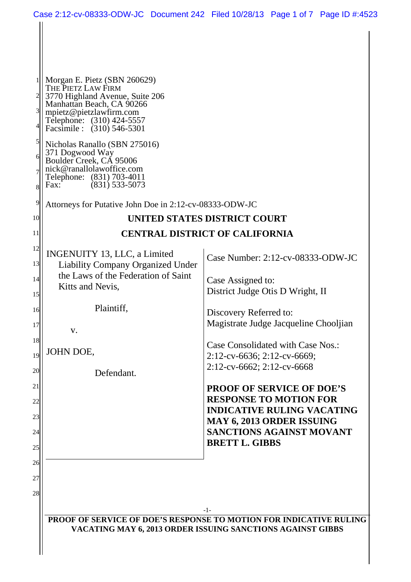| Morgan E. Pietz (SBN 260629)<br>THE PIETZ LAW FIRM<br>3770 Highland Avenue, Suite 206<br>Manhattan Beach, CA 90266<br>mpietz@pietzlawfirm.com<br>Telephone: (310) 424-5557<br>Facsimile : (310) 546-5301 |                                                                                                                                  |
|----------------------------------------------------------------------------------------------------------------------------------------------------------------------------------------------------------|----------------------------------------------------------------------------------------------------------------------------------|
| Nicholas Ranallo (SBN 275016)<br>371 Dogwood Way<br>Boulder Creek, CÁ 95006<br>nick@ranallolawoffice.com<br>Telephone: (831) 703-4011<br>$(831)$ 533-5073<br>Fax:                                        |                                                                                                                                  |
| Attorneys for Putative John Doe in 2:12-cv-08333-ODW-JC                                                                                                                                                  |                                                                                                                                  |
|                                                                                                                                                                                                          | UNITED STATES DISTRICT COURT                                                                                                     |
|                                                                                                                                                                                                          | <b>CENTRAL DISTRICT OF CALIFORNIA</b>                                                                                            |
| INGENUITY 13, LLC, a Limited<br>Liability Company Organized Under                                                                                                                                        | Case Number: 2:12-cv-08333-ODW-JC                                                                                                |
| Kitts and Nevis,                                                                                                                                                                                         | Case Assigned to:<br>District Judge Otis D Wright, II                                                                            |
| Plaintiff,                                                                                                                                                                                               | Discovery Referred to:<br>Magistrate Judge Jacqueline Chooljian                                                                  |
| JOHN DOE,                                                                                                                                                                                                | Case Consolidated with Case Nos.:<br>2:12-cv-6636; 2:12-cv-6669;                                                                 |
| Defendant.                                                                                                                                                                                               | $2:12$ -cv-6662; $2:12$ -cv-6668                                                                                                 |
|                                                                                                                                                                                                          | <b>PROOF OF SERVICE OF DOE'S</b><br><b>RESPONSE TO MOTION FOR</b>                                                                |
|                                                                                                                                                                                                          | <b>INDICATIVE RULING VACATING</b><br><b>MAY 6, 2013 ORDER ISSUING</b><br><b>SANCTIONS AGAINST MOVANT</b>                         |
|                                                                                                                                                                                                          | <b>BRETT L. GIBBS</b>                                                                                                            |
|                                                                                                                                                                                                          |                                                                                                                                  |
|                                                                                                                                                                                                          |                                                                                                                                  |
|                                                                                                                                                                                                          | -1-                                                                                                                              |
|                                                                                                                                                                                                          | PROOF OF SERVICE OF DOE'S RESPONSE TO MOTION FOR INDICATIVE RULING<br>VACATING MAY 6, 2013 ORDER ISSUING SANCTIONS AGAINST GIBBS |
|                                                                                                                                                                                                          | the Laws of the Federation of Saint<br>V.                                                                                        |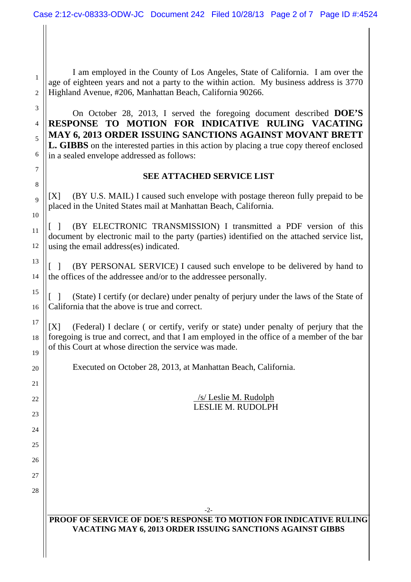I am employed in the County of Los Angeles, State of California. I am over the age of eighteen years and not a party to the within action. My business address is 3770 Highland Avenue, #206, Manhattan Beach, California 90266.

1

2

7

8

9

10

11

12

13

14

15

16

17

18

19

20

21

 $22$ 

 $23$ 

 $24$ 

25

26

27

28

3 4 5 6 On October 28, 2013, I served the foregoing document described **DOE'S RESPONSE TO MOTION FOR INDICATIVE RULING VACATING MAY 6, 2013 ORDER ISSUING SANCTIONS AGAINST MOVANT BRETT L. GIBBS** on the interested parties in this action by placing a true copy thereof enclosed in a sealed envelope addressed as follows:

### **SEE ATTACHED SERVICE LIST**

[X] (BY U.S. MAIL) I caused such envelope with postage thereon fully prepaid to be placed in the United States mail at Manhattan Beach, California.

[ ] (BY ELECTRONIC TRANSMISSION) I transmitted a PDF version of this document by electronic mail to the party (parties) identified on the attached service list, using the email address(es) indicated.

[ ] (BY PERSONAL SERVICE) I caused such envelope to be delivered by hand to the offices of the addressee and/or to the addressee personally.

[ ] (State) I certify (or declare) under penalty of perjury under the laws of the State of California that the above is true and correct.

[X] (Federal) I declare ( or certify, verify or state) under penalty of perjury that the foregoing is true and correct, and that I am employed in the office of a member of the bar of this Court at whose direction the service was made.

Executed on October 28, 2013, at Manhattan Beach, California.

/s/ Leslie M. Rudolph LESLIE M. RUDOLPH

### **PROOF OF SERVICE OF DOE'S RESPONSE TO MOTION FOR INDICATIVE RULING VACATING MAY 6, 2013 ORDER ISSUING SANCTIONS AGAINST GIBBS**

-2-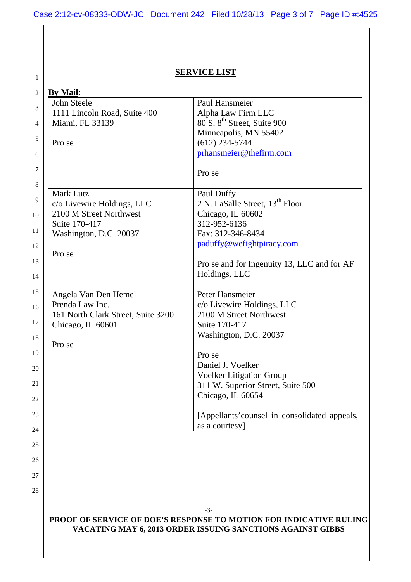# **SERVICE LIST**

1

| <b>By Mail:</b>                                                    |                                                            |
|--------------------------------------------------------------------|------------------------------------------------------------|
| John Steele                                                        | Paul Hansmeier                                             |
| 1111 Lincoln Road, Suite 400                                       | Alpha Law Firm LLC                                         |
| Miami, FL 33139                                                    | 80 S. 8 <sup>th</sup> Street, Suite 900                    |
|                                                                    | Minneapolis, MN 55402                                      |
| Pro se                                                             | $(612)$ 234-5744                                           |
|                                                                    | prhansmeier@thefirm.com                                    |
|                                                                    | Pro se                                                     |
| <b>Mark Lutz</b>                                                   | Paul Duffy                                                 |
| c/o Livewire Holdings, LLC                                         | 2 N. LaSalle Street, 13 <sup>th</sup> Floor                |
| 2100 M Street Northwest                                            | Chicago, IL 60602                                          |
| Suite 170-417                                                      | 312-952-6136                                               |
| Washington, D.C. 20037                                             | Fax: 312-346-8434                                          |
|                                                                    | paduffy@wefightpiracy.com                                  |
| Pro se                                                             |                                                            |
|                                                                    | Pro se and for Ingenuity 13, LLC and for AF                |
|                                                                    |                                                            |
|                                                                    | Holdings, LLC                                              |
| Angela Van Den Hemel                                               | Peter Hansmeier                                            |
| Prenda Law Inc.                                                    | c/o Livewire Holdings, LLC                                 |
| 161 North Clark Street, Suite 3200                                 | 2100 M Street Northwest                                    |
| Chicago, IL 60601                                                  | Suite 170-417                                              |
|                                                                    | Washington, D.C. 20037                                     |
| Pro se                                                             |                                                            |
|                                                                    | Pro se                                                     |
|                                                                    | Daniel J. Voelker                                          |
|                                                                    |                                                            |
|                                                                    | <b>Voelker Litigation Group</b>                            |
|                                                                    | 311 W. Superior Street, Suite 500                          |
|                                                                    | Chicago, IL 60654                                          |
|                                                                    | [Appellants' counsel in consolidated appeals,              |
|                                                                    | as a courtesy]                                             |
|                                                                    |                                                            |
|                                                                    |                                                            |
|                                                                    |                                                            |
|                                                                    |                                                            |
|                                                                    |                                                            |
|                                                                    | $-3-$                                                      |
|                                                                    |                                                            |
| PROOF OF SERVICE OF DOE'S RESPONSE TO MOTION FOR INDICATIVE RULING |                                                            |
|                                                                    | VACATING MAY 6, 2013 ORDER ISSUING SANCTIONS AGAINST GIBBS |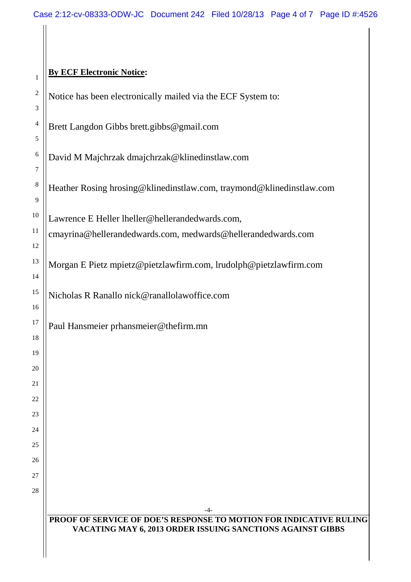# **By ECF Electronic Notice:**

 $\overline{1}$ 

| $\mathbf{I}$   |                                                                           |
|----------------|---------------------------------------------------------------------------|
| $\overline{c}$ | Notice has been electronically mailed via the ECF System to:              |
| 3              |                                                                           |
| $\overline{4}$ | Brett Langdon Gibbs brett.gibbs@gmail.com                                 |
| 5              |                                                                           |
| 6              | David M Majchrzak dmajchrzak@klinedinstlaw.com                            |
| 7              |                                                                           |
| $\,8\,$<br>9   | Heather Rosing hrosing@klinedinstlaw.com, traymond@klinedinstlaw.com      |
| 10             |                                                                           |
| 11             | Lawrence E Heller lheller@hellerandedwards.com,                           |
| 12             | cmayrina@hellerandedwards.com, medwards@hellerandedwards.com              |
| 13             | Morgan E Pietz mpietz@pietzlawfirm.com, lrudolph@pietzlawfirm.com         |
| 14             |                                                                           |
| 15             | Nicholas R Ranallo nick@ranallolawoffice.com                              |
| 16             |                                                                           |
| 17             | Paul Hansmeier prhansmeier@thefirm.mn                                     |
| 18             |                                                                           |
| 19             |                                                                           |
| 20             |                                                                           |
| 21             |                                                                           |
| 22             |                                                                           |
| 23             |                                                                           |
| 24<br>25       |                                                                           |
| 26             |                                                                           |
|                |                                                                           |
| 28             |                                                                           |
|                |                                                                           |
|                | -4-<br>PROOF OF SERVICE OF DOE'S RESPONSE TO MOTION FOR INDICATIVE RULING |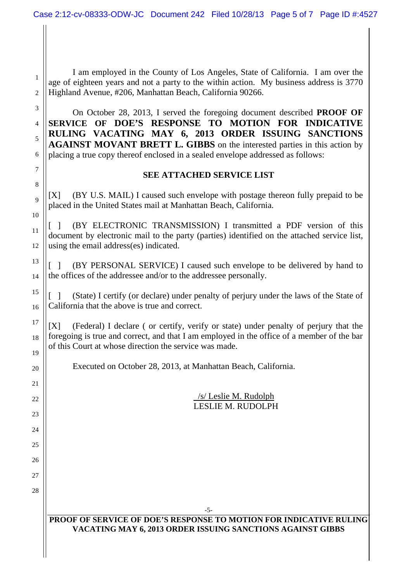I am employed in the County of Los Angeles, State of California. I am over the age of eighteen years and not a party to the within action. My business address is 3770 Highland Avenue, #206, Manhattan Beach, California 90266.

1

2

3

4

5

7

8

9

10

11

12

13

14

15

16

17

18

19

20

21

 $22$ 

23

 $24$ 

25

26

27

28

6 On October 28, 2013, I served the foregoing document described **PROOF OF SERVICE OF DOE'S RESPONSE TO MOTION FOR INDICATIVE RULING VACATING MAY 6, 2013 ORDER ISSUING SANCTIONS AGAINST MOVANT BRETT L. GIBBS** on the interested parties in this action by placing a true copy thereof enclosed in a sealed envelope addressed as follows:

#### **SEE ATTACHED SERVICE LIST**

[X] (BY U.S. MAIL) I caused such envelope with postage thereon fully prepaid to be placed in the United States mail at Manhattan Beach, California.

[ ] (BY ELECTRONIC TRANSMISSION) I transmitted a PDF version of this document by electronic mail to the party (parties) identified on the attached service list, using the email address(es) indicated.

[ ] (BY PERSONAL SERVICE) I caused such envelope to be delivered by hand to the offices of the addressee and/or to the addressee personally.

[ ] (State) I certify (or declare) under penalty of perjury under the laws of the State of California that the above is true and correct.

[X] (Federal) I declare ( or certify, verify or state) under penalty of perjury that the foregoing is true and correct, and that I am employed in the office of a member of the bar of this Court at whose direction the service was made.

Executed on October 28, 2013, at Manhattan Beach, California.

/s/ Leslie M. Rudolph LESLIE M. RUDOLPH

### **PROOF OF SERVICE OF DOE'S RESPONSE TO MOTION FOR INDICATIVE RULING VACATING MAY 6, 2013 ORDER ISSUING SANCTIONS AGAINST GIBBS**

-5-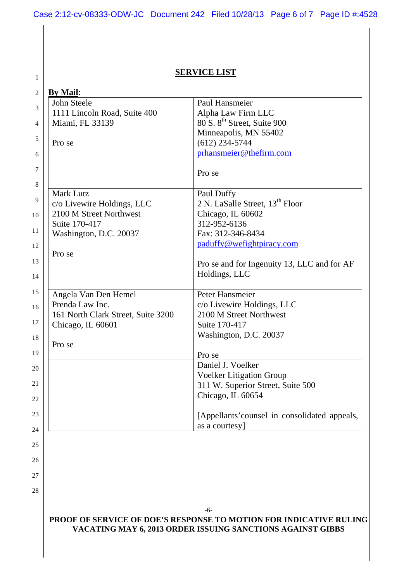# **SERVICE LIST**

1

| <b>By Mail:</b>                    |                                                                    |
|------------------------------------|--------------------------------------------------------------------|
| John Steele                        | Paul Hansmeier                                                     |
| 1111 Lincoln Road, Suite 400       | Alpha Law Firm LLC                                                 |
| Miami, FL 33139                    | 80 S. 8 <sup>th</sup> Street, Suite 900                            |
|                                    | Minneapolis, MN 55402                                              |
| Pro se                             | $(612)$ 234-5744                                                   |
|                                    | prhansmeier@thefirm.com                                            |
|                                    | Pro se                                                             |
| <b>Mark Lutz</b>                   | Paul Duffy                                                         |
| c/o Livewire Holdings, LLC         | 2 N. LaSalle Street, 13 <sup>th</sup> Floor                        |
| 2100 M Street Northwest            | Chicago, IL 60602                                                  |
| Suite 170-417                      | 312-952-6136                                                       |
| Washington, D.C. 20037             | Fax: 312-346-8434                                                  |
|                                    | paduffy@wefightpiracy.com                                          |
| Pro se                             |                                                                    |
|                                    | Pro se and for Ingenuity 13, LLC and for AF                        |
|                                    | Holdings, LLC                                                      |
|                                    |                                                                    |
| Angela Van Den Hemel               | Peter Hansmeier                                                    |
| Prenda Law Inc.                    | c/o Livewire Holdings, LLC                                         |
| 161 North Clark Street, Suite 3200 | 2100 M Street Northwest                                            |
| Chicago, IL 60601                  | Suite 170-417                                                      |
|                                    | Washington, D.C. 20037                                             |
| Pro se                             |                                                                    |
|                                    | Pro se                                                             |
|                                    | Daniel J. Voelker                                                  |
|                                    | <b>Voelker Litigation Group</b>                                    |
|                                    | 311 W. Superior Street, Suite 500                                  |
|                                    | Chicago, IL 60654                                                  |
|                                    |                                                                    |
|                                    | [Appellants' counsel in consolidated appeals,                      |
|                                    | as a courtesy]                                                     |
|                                    |                                                                    |
|                                    |                                                                    |
|                                    |                                                                    |
|                                    |                                                                    |
|                                    |                                                                    |
|                                    | -6-                                                                |
|                                    | PROOF OF SERVICE OF DOE'S RESPONSE TO MOTION FOR INDICATIVE RULING |
|                                    | VACATING MAY 6, 2013 ORDER ISSUING SANCTIONS AGAINST GIBBS         |
|                                    |                                                                    |